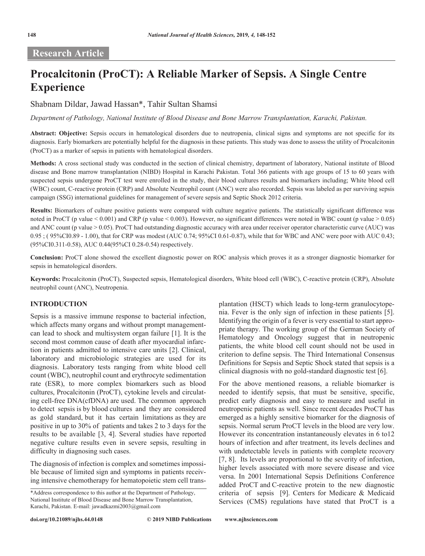## **Research Article**

# **Procalcitonin (ProCT): A Reliable Marker of Sepsis. A Single Centre Experience**

Shabnam Dildar, Jawad Hassan\*, Tahir Sultan Shamsi

*Department of Pathology, National Institute of Blood Disease and Bone Marrow Transplantation, Karachi, Pakistan.*

**Abstract: Objective:** Sepsis occurs in hematological disorders due to neutropenia, clinical signs and symptoms are not specific for its diagnosis. Early biomarkers are potentially helpful for the diagnosis in these patients. This study was done to assess the utility of Procalcitonin (ProCT) as a marker of sepsis in patients with hematological disorders.

**Methods:** A cross sectional study was conducted in the section of clinical chemistry, department of laboratory, National institute of Blood disease and Bone marrow transplantation (NIBD) Hospital in Karachi Pakistan. Total 366 patients with age groups of 15 to 60 years with suspected sepsis undergone ProCT test were enrolled in the study, their blood cultures results and biomarkers including; White blood cell (WBC) count, C-reactive protein (CRP) and Absolute Neutrophil count (ANC) were also recorded. Sepsis was labeled as per surviving sepsis campaign (SSG) international guidelines for management of severe sepsis and Septic Shock 2012 criteria.

**Results:** Biomarkers of culture positive patients were compared with culture negative patients. The statistically significant difference was noted in ProCT (p value < 0.001) and CRP (p value < 0.003). However, no significant differences were noted in WBC count (p value > 0.05) and ANC count (p value > 0.05). ProCT had outstanding diagnostic accuracy with area under receiver operator characteristic curve (AUC) was 0.95 ; ( 95%CI0.89 - 1.00), that for CRP was modest (AUC 0.74; 95%CI 0.61-0.87), while that for WBC and ANC were poor with AUC 0.43; (95%CI0.311-0.58), AUC 0.44(95%CI 0.28-0.54) respectively.

**Conclusion:** ProCT alone showed the excellent diagnostic power on ROC analysis which proves it as a stronger diagnostic biomarker for sepsis in hematological disorders.

**Keywords:** Procalcitonin (ProCT), Suspected sepsis, Hematological disorders, White blood cell (WBC), C-reactive protein (CRP), Absolute neutrophil count (ANC), Neutropenia.

### **INTRODUCTION**

Sepsis is a massive immune response to bacterial infection, which affects many organs and without prompt managementcan lead to shock and multisystem organ failure [1]. It is the second most common cause of death after myocardial infarction in patients admitted to intensive care units [2]. Clinical, laboratory and microbiologic strategies are used for its diagnosis. Laboratory tests ranging from white blood cell count (WBC), neutrophil count and erythrocyte sedimentation rate (ESR), to more complex biomarkers such as blood cultures, Procalcitonin (ProCT), cytokine levels and circulating cell-free DNA(cfDNA) are used. The common approach to detect sepsis is by blood cultures and they are considered as gold standard, but it has certain limitations as they are positive in up to 30% of patients and takes 2 to 3 days for the results to be available [3, 4]. Several studies have reported negative culture results even in severe sepsis, resulting in difficulty in diagnosing such cases.

The diagnosis of infection is complex and sometimes impossible because of limited sign and symptoms in patients receiving intensive chemotherapy for hematopoietic stem cell transplantation (HSCT) which leads to long-term granulocytopenia. Fever is the only sign of infection in these patients [5]. Identifying the origin of a fever is very essential to start appropriate therapy. The working group of the German Society of Hematology and Oncology suggest that in neutropenic patients, the white blood cell count should not be used in criterion to define sepsis. The Third International Consensus Definitions for Sepsis and Septic Shock stated that sepsis is a clinical diagnosis with no gold-standard diagnostic test [6].

For the above mentioned reasons, a reliable biomarker is needed to identify sepsis, that must be sensitive, specific, predict early diagnosis and easy to measure and useful in neutropenic patients as well. Since recent decades ProCT has emerged as a highly sensitive biomarker for the diagnosis of sepsis. Normal serum ProCT levels in the blood are very low. However its concentration instantaneously elevates in 6 to12 hours of infection and after treatment, its levels declines and with undetectable levels in patients with complete recovery [7, 8]. Its levels are proportional to the severity of infection, higher levels associated with more severe disease and vice versa. In 2001 International Sepsis Definitions Conference added ProCT and C-reactive protein to the new diagnostic criteria of sepsis [9]. Centers for Medicare & Medicaid Services (CMS) regulations have stated that ProCT is a

<sup>\*</sup>Address correspondence to this author at the Department of Pathology, National Institute of Blood Disease and Bone Marrow Transplantation, Karachi, Pakistan. E-mail: jawadkazmi2003@gmail.com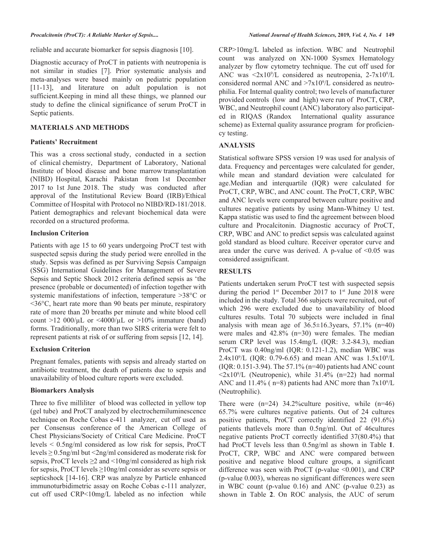reliable and accurate biomarker for sepsis diagnosis [10].

Diagnostic accuracy of ProCT in patients with neutropenia is not similar in studies [7]. Prior systematic analysis and meta-analyses were based mainly on pediatric population [11-13], and literature on adult population is not sufficient.Keeping in mind all these things, we planned our study to define the clinical significance of serum ProCT in Septic patients.

### **MATERIALS AND METHODS**

### **Patients' Recruitment**

This was a cross sectional study, conducted in a section of clinical chemistry, Department of Laboratory, National Institute of blood disease and bone marrow transplantation (NIBD) Hospital, Karachi Pakistan from 1st December 2017 to 1st June 2018. The study was conducted after approval of the Institutional Review Board (IRB)/Ethical Committee of Hospital with Protocol no NIBD/RD-181/2018. Patient demographics and relevant biochemical data were recorded on a structured proforma.

### **Inclusion Criterion**

Patients with age 15 to 60 years undergoing ProCT test with suspected sepsis during the study period were enrolled in the study. Sepsis was defined as per Surviving Sepsis Campaign (SSG) International Guidelines for Management of Severe Sepsis and Septic Shock 2012 criteria defined sepsis as 'the presence (probable or documented) of infection together with systemic manifestations of infection, temperature >38°C or <36°C, heart rate more than 90 beats per minute, respiratory rate of more than 20 breaths per minute and white blood cell count  $>12\,000/\mu L$  or  $\leq 4000/\mu L$  or  $>10\%$  immature (band) forms. Traditionally, more than two SIRS criteria were felt to represent patients at risk of or suffering from sepsis [12, 14].

### **Exclusion Criterion**

Pregnant females, patients with sepsis and already started on antibiotic treatment, the death of patients due to sepsis and unavailability of blood culture reports were excluded.

### **Biomarkers Analysis**

Three to five milliliter of blood was collected in yellow top (gel tube) and ProCT analyzed by electrochemiluminescence technique on Roche Cobas e-411 analyzer, cut off used as per Consensus conference of the American College of Chest Physicians/Society of Critical Care Medicine. ProCT levels < 0.5ng/ml considered as low risk for sepsis, ProCT levels ≥ 0.5ng/ml but <2ng/ml considered as moderate risk for sepsis, ProCT levels  $\geq$  2 and  $\leq$  10ng/ml considered as high risk for sepsis, ProCT levels ≥10ng/ml consider as severe sepsis or septicshock [14-16]. CRP was analyze by Particle enhanced immunoturbidimetric assay on Roche Cobas c-111 analyzer, cut off used CRP<10mg/L labeled as no infection while

CRP>10mg/L labeled as infection. WBC and Neutrophil count was analyzed on XN-1000 Sysmex Hematology analyzer by flow cytometry technique. The cut off used for ANC was  $\langle 2x10^9/L \rangle$  considered as neutropenia, 2-7x10<sup>9</sup>/L considered normal ANC and  $>7x10^9/L$  considered as neutrophilia. For Internal quality control; two levels of manufacturer provided controls (low and high) were run of ProCT, CRP, WBC, and Neutrophil count (ANC) laboratory also participated in RIQAS (Randox International quality assurance scheme) as External quality assurance program for proficiency testing.

### **ANALYSIS**

Statistical software SPSS version 19 was used for analysis of data. Frequency and percentages were calculated for gender, while mean and standard deviation were calculated for age.Median and interquartile (IQR) were calculated for ProCT, CRP, WBC, and ANC count. The ProCT, CRP, WBC and ANC levels were compared between culture positive and cultures negative patients by using Mann-Whitney U test. Kappa statistic was used to find the agreement between blood culture and Procalcitonin. Diagnostic accuracy of ProCT, CRP, WBC and ANC to predict sepsis was calculated against gold standard as blood culture. Receiver operator curve and area under the curve was derived. A p-value of  $\leq 0.05$  was considered assignificant.

### **RESULTS**

Patients undertaken serum ProCT test with suspected sepsis during the period  $1^{st}$  December 2017 to  $1^{st}$  June 2018 were included in the study. Total 366 subjects were recruited, out of which 296 were excluded due to unavailability of blood cultures results. Total 70 subjects were included in final analysis with mean age of  $36.5 \pm 16.3$  years,  $57.1\%$  (n=40) were males and 42.8% (n=30) were females. The median serum CRP level was 15.4mg/L (IQR: 3.2-84.3), median ProCT was 0.40ng/ml (IQR: 0.121-1.2), median WBC was  $2.4x10^{9}/L$  (IQR: 0.79-6.65) and mean ANC was  $1.5x10^{9}/L$ (IQR: 0.151-3.94). The 57.1% (n=40) patients had ANC count  $\langle 2x10^9/L \rangle$  (Neutropenic), while 31.4% (n=22) had normal ANC and  $11.4\%$  ( n=8) patients had ANC more than  $7x10<sup>9</sup>/L$ (Neutrophilic).

There were  $(n=24)$  34.2% culture positive, while  $(n=46)$ 65.7% were cultures negative patients. Out of 24 cultures positive patients, ProCT correctly identified 22 (91.6%) patients thatlevels more than 0.5ng/ml. Out of 46cultures negative patients ProCT correctly identified 37(80.4%) that had ProCT levels less than 0.5ng/ml as shown in Table **1**. ProCT, CRP, WBC and ANC were compared between positive and negative blood culture groups, a significant difference was seen with ProCT (p-value <0.001), and CRP (p-value 0.003), whereas no significant differences were seen in WBC count (p-value 0.16) and ANC (p-value 0.23) as shown in Table **2**. On ROC analysis, the AUC of serum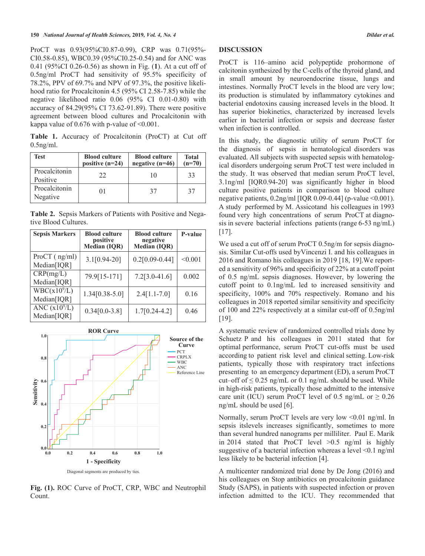ProCT was 0.93(95%CI0.87-0.99), CRP was 0.71(95%- CI0.58-0.85), WBC0.39 (95%CI0.25-0.54) and for ANC was 0.41 (95%CI 0.26-0.56) as shown in Fig. (**1**). At a cut off of 0.5ng/ml ProCT had sensitivity of 95.5% specificity of 78.2%, PPV of 69.7% and NPV of 97.3%, the positive likelihood ratio for Procalcitonin 4.5 (95% CI 2.58-7.85) while the negative likelihood ratio 0.06 (95% CI 0.01-0.80) with accuracy of 84.29(95% CI 73.62-91.89). There were positive agreement between blood cultures and Procalcitonin with kappa value of  $0.676$  with p-value of  $\leq 0.001$ .

**Table 1.** Accuracy of Procalcitonin (ProCT) at Cut off 0.5ng/ml.

| Test                      | <b>Blood culture</b><br>positive $(n=24)$ | <b>Blood culture</b><br>negative $(n=46)$ | Total<br>$(n=70)$ |
|---------------------------|-------------------------------------------|-------------------------------------------|-------------------|
| Procalcitonin<br>Positive | 22                                        | 10                                        | 33                |
| Procalcitonin<br>Negative | $_{01}$                                   | 37                                        | 37                |

**Table 2.** Sepsis Markers of Patients with Positive and Negative Blood Cultures.

| <b>Sepsis Markers</b>                   | <b>Blood culture</b><br>positive<br><b>Median (IQR)</b> | <b>Blood culture</b><br>negative<br><b>Median (IQR)</b> | P-value |
|-----------------------------------------|---------------------------------------------------------|---------------------------------------------------------|---------|
| ProCT (ng/ml)<br>Median[IQR]            | $3.1[0.94-20]$                                          | $0.2[0.09 - 0.44]$                                      | < 0.001 |
| CRP(mg/L)<br>Median[IQR]                | 79.9[15-171]                                            | $7.2[3.0-41.6]$                                         | 0.002   |
| WBC(x10 <sup>9</sup> /L)<br>Median[IQR] | $1.34[0.38-5.0]$                                        | $2.4[1.1-7.0]$                                          | 0.16    |
| ANC $(x10^{9}/L)$<br>Median[IQR]        | $0.34[0.0-3.8]$                                         | $1.7[0.24-4.2]$                                         | 0.46    |



**Fig. (1).** ROC Curve of ProCT, CRP, WBC and Neutrophil Count.

### **DISCUSSION**

ProCT is 116–amino acid polypeptide prohormone of calcitonin synthesized by the C-cells of the thyroid gland, and in small amount by neuroendocrine tissue, lungs and intestines. Normally ProCT levels in the blood are very low; its production is stimulated by inflammatory cytokines and bacterial endotoxins causing increased levels in the blood. It has superior biokinetics, characterized by increased levels earlier in bacterial infection or sepsis and decrease faster when infection is controlled.

In this study, the diagnostic utility of serum ProCT for the diagnosis of sepsis in hematological disorders was evaluated. All subjects with suspected sepsis with hematological disorders undergoing serum ProCT test were included in the study. It was observed that median serum ProCT level, 3.1ng/ml [IQR0.94-20] was significantly higher in blood culture positive patients in comparison to blood culture negative patients,  $0.2$ ng/ml [IQR 0.09-0.44] (p-value <0.001). A study performed by M. Assicotand his colleagues in 1993 found very high concentrations of serum ProCT at diagnosis in severe bacterial infections patients (range 6-53 ng/mL) [17].

We used a cut off of serum ProCT 0.5ng/m for sepsis diagnosis. Similar Cut-offs used byVincenzi I. and his colleagues in 2016 and Romano his colleagues in 2019 [18, 19].We reported a sensitivity of 96% and specificity of 22% at a cutoff point of 0.5 ng/mL sepsis diagnoses. However, by lowering the cutoff point to 0.1ng/mL led to increased sensitivity and specificity,  $100\%$  and  $70\%$  respectively. Romano and his colleagues in 2018 reported similar sensitivity and specificity of 100 and 22% respectively at a similar cut-off of 0.5ng/ml [19].

A systematic review of randomized controlled trials done by Schuetz P and his colleagues in 2011 stated that for optimal performance, serum ProCT cut-offs must be used according to patient risk level and clinical setting. Low-risk patients, typically those with respiratory tract infections presenting to an emergency department (ED), a serum ProCT cut–off of  $\leq 0.25$  ng/mL or 0.1 ng/mL should be used. While in high-risk patients, typically those admitted to the intensive care unit (ICU) serum ProCT level of 0.5 ng/mL or  $\geq 0.26$ ng/mL should be used [6].

Normally, serum ProCT levels are very low <0.01 ng/ml. In sepsis itslevels increases significantly, sometimes to more than several hundred nanograms per milliliter. Paul E. Marik in 2014 stated that ProCT level  $>0.5$  ng/ml is highly suggestive of a bacterial infection whereas a level <0.1 ng/ml less likely to be bacterial infection [4].

A multicenter randomized trial done by De Jong (2016) and his colleagues on Stop antibiotics on procalcitonin guidance Study (SAPS), in patients with suspected infection or proven infection admitted to the ICU. They recommended that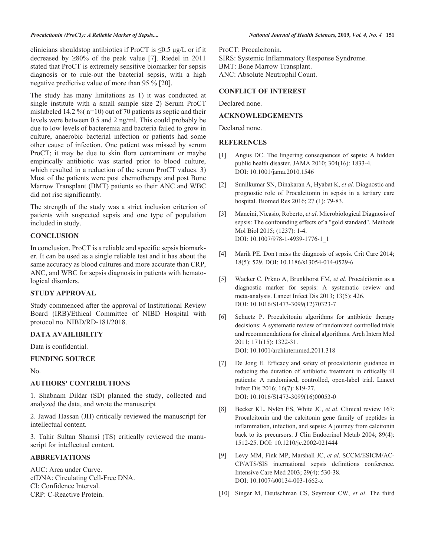clinicians shouldstop antibiotics if ProCT is  $\leq 0.5$  μg/L or if it decreased by  $\geq 80\%$  of the peak value [7]. Riedel in 2011 stated that ProCT is extremely sensitive biomarker for sepsis diagnosis or to rule-out the bacterial sepsis, with a high negative predictive value of more than 95 % [20].

The study has many limitations as 1) it was conducted at single institute with a small sample size 2) Serum ProCT mislabeled 14.2 %( n=10) out of 70 patients as septic and their levels were between 0.5 and 2 ng/ml. This could probably be due to low levels of bacteremia and bacteria failed to grow in culture, anaerobic bacterial infection or patients had some other cause of infection. One patient was missed by serum ProCT; it may be due to skin flora contaminant or maybe empirically antibiotic was started prior to blood culture, which resulted in a reduction of the serum ProCT values. 3) Most of the patients were post chemotherapy and post Bone Marrow Transplant (BMT) patients so their ANC and WBC did not rise significantly.

The strength of the study was a strict inclusion criterion of patients with suspected sepsis and one type of population included in study.

### **CONCLUSION**

In conclusion, ProCT is a reliable and specific sepsis biomarker. It can be used as a single reliable test and it has about the same accuracy as blood cultures and more accurate than CRP, ANC, and WBC for sepsis diagnosis in patients with hematological disorders.

### **STUDY APPROVAL**

Study commenced after the approval of Institutional Review Board (IRB)/Ethical Committee of NIBD Hospital with protocol no. NIBD/RD-181/2018.

### **DATA AVAILIBILITY**

Data is confidential.

### **FUNDING SOURCE**

No.

### **AUTHORS' CONTRIBUTIONS**

1. Shabnam Dildar (SD) planned the study, collected and analyzed the data, and wrote the manuscript

2. Jawad Hassan (JH) critically reviewed the manuscript for intellectual content.

3. Tahir Sultan Shamsi (TS) critically reviewed the manuscript for intellectual content.

### **ABBREVIATIONS**

AUC: Area under Curve. cfDNA: Circulating Cell-Free DNA. CI: Confidence Interval. CRP: C-Reactive Protein.

ProCT: Procalcitonin.

SIRS: Systemic Inflammatory Response Syndrome. BMT: Bone Marrow Transplant. ANC: Absolute Neutrophil Count.

### **CONFLICT OF INTEREST**

Declared none.

### **ACKNOWLEDGEMENTS**

Declared none.

### **REFERENCES**

- [1] Angus DC. The lingering consequences of sepsis: A hidden public health disaster. JAMA 2010; 304(16): 1833-4. DOI: 10.1001/jama.2010.1546
- [2] Sunilkumar SN, Dinakaran A, Hyabat K, *et al.* Diagnostic and prognostic role of Procalcitonin in sepsis in a tertiary care hospital. Biomed Res 2016; 27 (1): 79-83.<br>[3] Mancini, Nicasio, Roberto, *et al.* Microbio
- [3] Mancini, Nicasio, Roberto, *et al*. Microbiological Diagnosis of sepsis: The confounding effects of a "gold standard". Methods Mol Biol 2015; (1237): 1-4. DOI: 10.1007/978-1-4939-1776-1\_1
- [4] Marik PE. Don't miss the diagnosis of sepsis. Crit Care 2014; 18(5): 529. DOI: 10.1186/s13054-014-0529-6
- [5] Wacker C, Prkno A, Brunkhorst FM, *et al*. Procalcitonin as a diagnostic marker for sepsis: A systematic review and meta-analysis. Lancet Infect Dis 2013; 13(5): 426. DOI: 10.1016/S1473-3099(12)70323-7
- [6] Schuetz P. Procalcitonin algorithms for antibiotic therapy decisions: A systematic review of randomized controlled trials and recommendations for clinical algorithms. Arch Intern Med 2011; 171(15): 1322-31. DOI: 10.1001/archinternmed.2011.318
- [7] De Jong E. Efficacy and safety of procalcitonin guidance in reducing the duration of antibiotic treatment in critically ill patients: A randomised, controlled, open-label trial. Lancet Infect Dis 2016; 16(7): 819-27. DOI: 10.1016/S1473-3099(16)00053-0
- [8] Becker KL, Nylén ES, White JC, *et al*. Clinical review 167: Procalcitonin and the calcitonin gene family of peptides in inflammation, infection, and sepsis: A journey from calcitonin back to its precursors. J Clin Endocrinol Metab 2004; 89(4): 1512-25. DOI: 10.1210/jc.2002-021444
- [9] Levy MM, Fink MP, Marshall JC, *et al*. SCCM/ESICM/AC-CP/ATS/SIS international sepsis definitions conference. Intensive Care Med 2003; 29(4): 530-38. DOI: 10.1007/s00134-003-1662-x
- [10] Singer M, Deutschman CS, Seymour CW, *et al*. The third